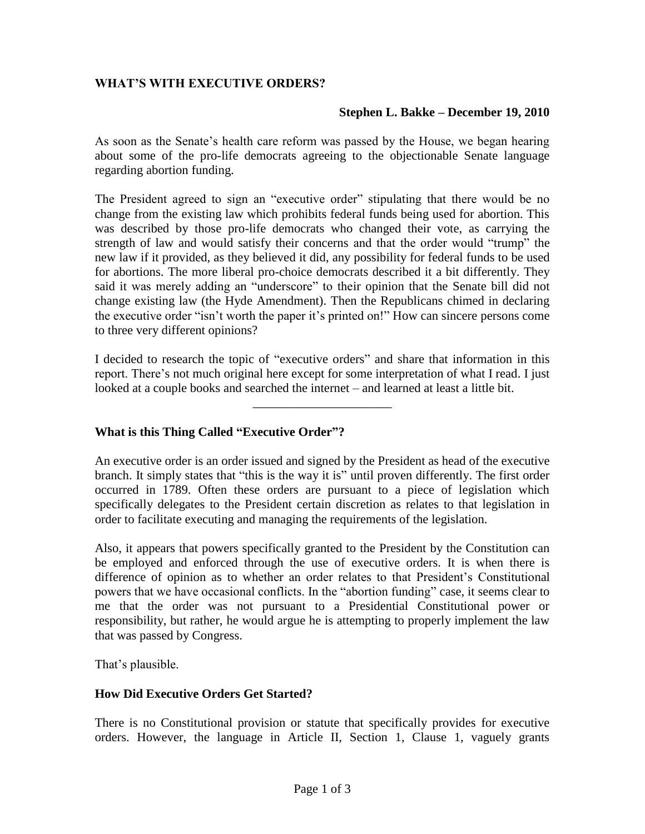# **WHAT'S WITH EXECUTIVE ORDERS?**

### **Stephen L. Bakke – December 19, 2010**

As soon as the Senate's health care reform was passed by the House, we began hearing about some of the pro-life democrats agreeing to the objectionable Senate language regarding abortion funding.

The President agreed to sign an "executive order" stipulating that there would be no change from the existing law which prohibits federal funds being used for abortion. This was described by those pro-life democrats who changed their vote, as carrying the strength of law and would satisfy their concerns and that the order would "trump" the new law if it provided, as they believed it did, any possibility for federal funds to be used for abortions. The more liberal pro-choice democrats described it a bit differently. They said it was merely adding an "underscore" to their opinion that the Senate bill did not change existing law (the Hyde Amendment). Then the Republicans chimed in declaring the executive order "isn't worth the paper it's printed on!" How can sincere persons come to three very different opinions?

I decided to research the topic of "executive orders" and share that information in this report. There's not much original here except for some interpretation of what I read. I just looked at a couple books and searched the internet – and learned at least a little bit.

\_\_\_\_\_\_\_\_\_\_\_\_\_\_\_\_\_\_\_\_\_\_

## **What is this Thing Called "Executive Order"?**

An executive order is an order issued and signed by the President as head of the executive branch. It simply states that "this is the way it is" until proven differently. The first order occurred in 1789. Often these orders are pursuant to a piece of legislation which specifically delegates to the President certain discretion as relates to that legislation in order to facilitate executing and managing the requirements of the legislation.

Also, it appears that powers specifically granted to the President by the Constitution can be employed and enforced through the use of executive orders. It is when there is difference of opinion as to whether an order relates to that President's Constitutional powers that we have occasional conflicts. In the "abortion funding" case, it seems clear to me that the order was not pursuant to a Presidential Constitutional power or responsibility, but rather, he would argue he is attempting to properly implement the law that was passed by Congress.

That's plausible.

#### **How Did Executive Orders Get Started?**

There is no Constitutional provision or statute that specifically provides for executive orders. However, the language in Article II, Section 1, Clause 1, vaguely grants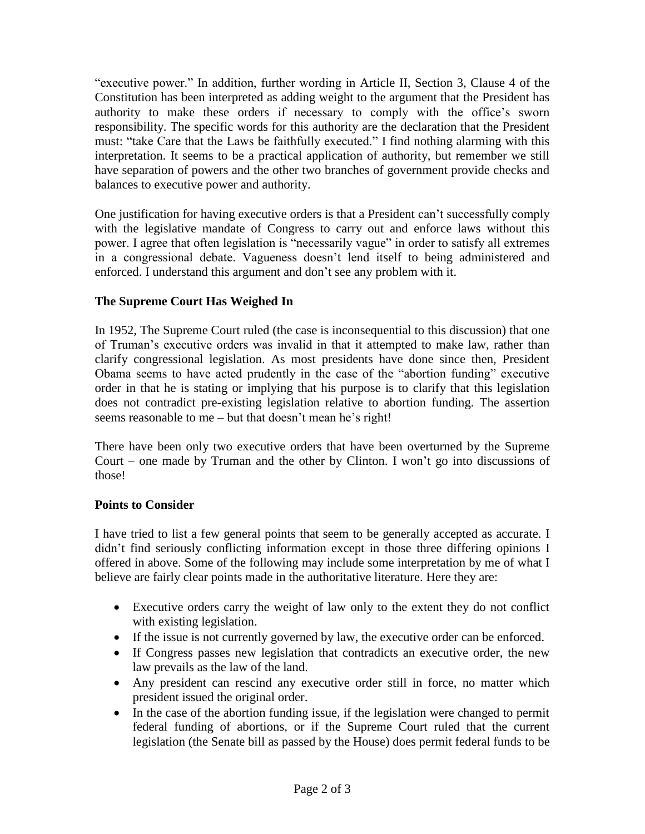"executive power." In addition, further wording in Article II, Section 3, Clause 4 of the Constitution has been interpreted as adding weight to the argument that the President has authority to make these orders if necessary to comply with the office's sworn responsibility. The specific words for this authority are the declaration that the President must: "take Care that the Laws be faithfully executed." I find nothing alarming with this interpretation. It seems to be a practical application of authority, but remember we still have separation of powers and the other two branches of government provide checks and balances to executive power and authority.

One justification for having executive orders is that a President can't successfully comply with the legislative mandate of Congress to carry out and enforce laws without this power. I agree that often legislation is "necessarily vague" in order to satisfy all extremes in a congressional debate. Vagueness doesn't lend itself to being administered and enforced. I understand this argument and don't see any problem with it.

# **The Supreme Court Has Weighed In**

In 1952, The Supreme Court ruled (the case is inconsequential to this discussion) that one of Truman's executive orders was invalid in that it attempted to make law, rather than clarify congressional legislation. As most presidents have done since then, President Obama seems to have acted prudently in the case of the "abortion funding" executive order in that he is stating or implying that his purpose is to clarify that this legislation does not contradict pre-existing legislation relative to abortion funding. The assertion seems reasonable to me – but that doesn't mean he's right!

There have been only two executive orders that have been overturned by the Supreme Court – one made by Truman and the other by Clinton. I won't go into discussions of those!

## **Points to Consider**

I have tried to list a few general points that seem to be generally accepted as accurate. I didn't find seriously conflicting information except in those three differing opinions I offered in above. Some of the following may include some interpretation by me of what I believe are fairly clear points made in the authoritative literature. Here they are:

- Executive orders carry the weight of law only to the extent they do not conflict with existing legislation.
- If the issue is not currently governed by law, the executive order can be enforced.
- If Congress passes new legislation that contradicts an executive order, the new law prevails as the law of the land.
- Any president can rescind any executive order still in force, no matter which president issued the original order.
- In the case of the abortion funding issue, if the legislation were changed to permit federal funding of abortions, or if the Supreme Court ruled that the current legislation (the Senate bill as passed by the House) does permit federal funds to be